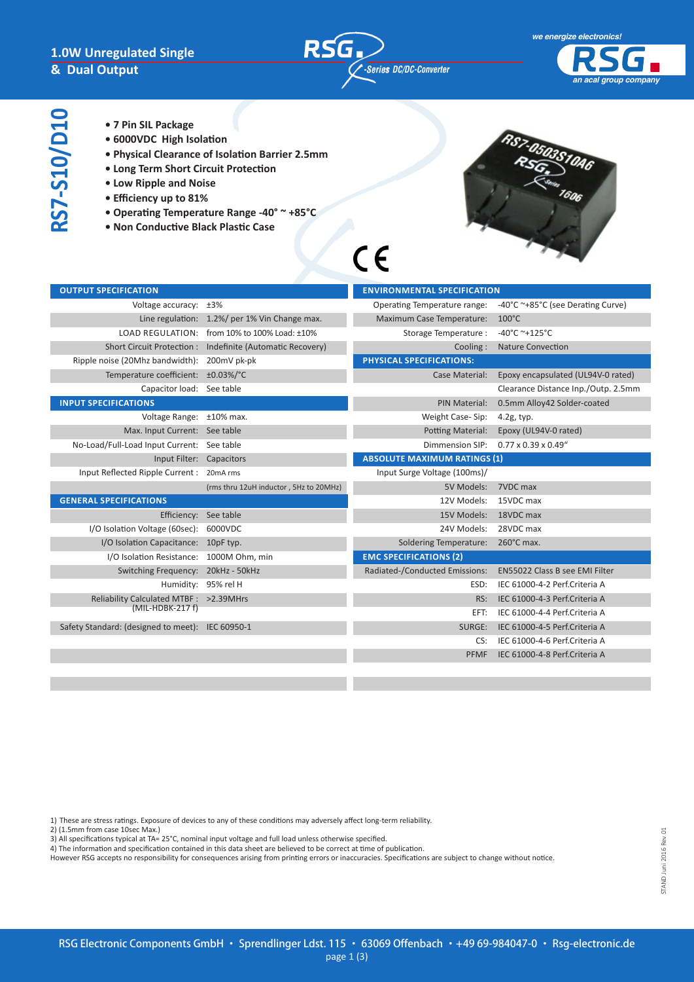

 $C \in$ 



- RS7-S10/D10 **RS7-S10/D10**
- **7 Pin SIL Package**
- **6000VDC High Isolation**
- **Physical Clearance of Isolation Barrier 2.5mm**
- **Long Term Short Circuit Protection**
- **Low Ripple and Noise**
- **Efficiency up to 81%**
- **Operating Temperature Range -40° ~ +85°C**
- **Non Conductive Black Plastic Case**



| <b>OUTPUT SPECIFICATION</b>                                 |                                                            | <b>ENVIRONMENTAL SPECIFICATION</b> |                                       |  |  |
|-------------------------------------------------------------|------------------------------------------------------------|------------------------------------|---------------------------------------|--|--|
| Voltage accuracy: ±3%                                       |                                                            | Operating Temperature range:       | -40°C ~+85°C (see Derating Curve)     |  |  |
|                                                             | Line regulation: 1.2%/ per 1% Vin Change max.              | Maximum Case Temperature:          | $100^{\circ}$ C                       |  |  |
|                                                             | LOAD REGULATION: from 10% to 100% Load: ±10%               | Storage Temperature:               | $-40^{\circ}$ C ~+125°C               |  |  |
|                                                             | Short Circuit Protection : Indefinite (Automatic Recovery) | Cooling:                           | <b>Nature Convection</b>              |  |  |
| Ripple noise (20Mhz bandwidth): 200mV pk-pk                 |                                                            | PHYSICAL SPECIFICATIONS:           |                                       |  |  |
| Temperature coefficient: ±0.03%/°C                          |                                                            | Case Material:                     | Epoxy encapsulated (UL94V-0 rated)    |  |  |
| Capacitor load: See table                                   |                                                            |                                    | Clearance Distance Inp./Outp. 2.5mm   |  |  |
| <b>INPUT SPECIFICATIONS</b>                                 |                                                            | <b>PIN Material:</b>               | 0.5mm Alloy42 Solder-coated           |  |  |
| Voltage Range: ±10% max.                                    |                                                            | Weight Case-Sip:                   | $4.2g$ , typ.                         |  |  |
| Max. Input Current: See table                               |                                                            | <b>Potting Material:</b>           | Epoxy (UL94V-0 rated)                 |  |  |
| No-Load/Full-Load Input Current: See table                  |                                                            | Dimmension SIP:                    | $0.77 \times 0.39 \times 0.49$ "      |  |  |
| Input Filter: Capacitors                                    |                                                            |                                    | <b>ABSOLUTE MAXIMUM RATINGS (1)</b>   |  |  |
| Input Reflected Ripple Current: 20mA rms                    |                                                            | Input Surge Voltage (100ms)/       |                                       |  |  |
|                                                             | (rms thru 12uH inductor, 5Hz to 20MHz)                     | 5V Models:                         | 7VDC max                              |  |  |
| <b>GENERAL SPECIFICATIONS</b>                               |                                                            | 12V Models:                        | 15VDC max                             |  |  |
| Efficiency: See table                                       |                                                            | 15V Models:                        | 18VDC max                             |  |  |
| I/O Isolation Voltage (60sec):                              | 6000VDC                                                    | 24V Models:                        | 28VDC max                             |  |  |
| I/O Isolation Capacitance: 10pF typ.                        |                                                            | <b>Soldering Temperature:</b>      | 260°C max.                            |  |  |
| I/O Isolation Resistance: 1000M Ohm, min                    |                                                            | <b>EMC SPECIFICATIONS (2)</b>      |                                       |  |  |
| Switching Frequency: 20kHz - 50kHz                          |                                                            | Radiated-/Conducted Emissions:     | <b>EN55022 Class B see EMI Filter</b> |  |  |
|                                                             | Humidity: 95% rel H                                        | ESD:                               | IEC 61000-4-2 Perf.Criteria A         |  |  |
| Reliability Calculated MTBF : >2.39MHrs<br>(MIL-HDBK-217 f) |                                                            | RS:                                | IEC 61000-4-3 Perf.Criteria A         |  |  |
|                                                             |                                                            | EFT:                               | IEC 61000-4-4 Perf.Criteria A         |  |  |
| Safety Standard: (designed to meet): IEC 60950-1            |                                                            | SURGE:                             | IEC 61000-4-5 Perf.Criteria A         |  |  |
|                                                             |                                                            | CS:                                | IEC 61000-4-6 Perf.Criteria A         |  |  |
|                                                             |                                                            | PFMF                               | IEC 61000-4-8 Perf.Criteria A         |  |  |
|                                                             |                                                            |                                    |                                       |  |  |

1) These are stress ratings. Exposure of devices to any of these conditions may adversely affect long-term reliability.

- 2) (1.5mm from case 10sec Max.)
- 3) All specifications typical at TA= 25°C, nominal input voltage and full load unless otherwise specified.
- 4) The information and specification contained in this data sheet are believed to be correct at time of publication.

However RSG accepts no responsibility for consequences arising from printing errors or inaccuracies. Specifications are subject to change without notice.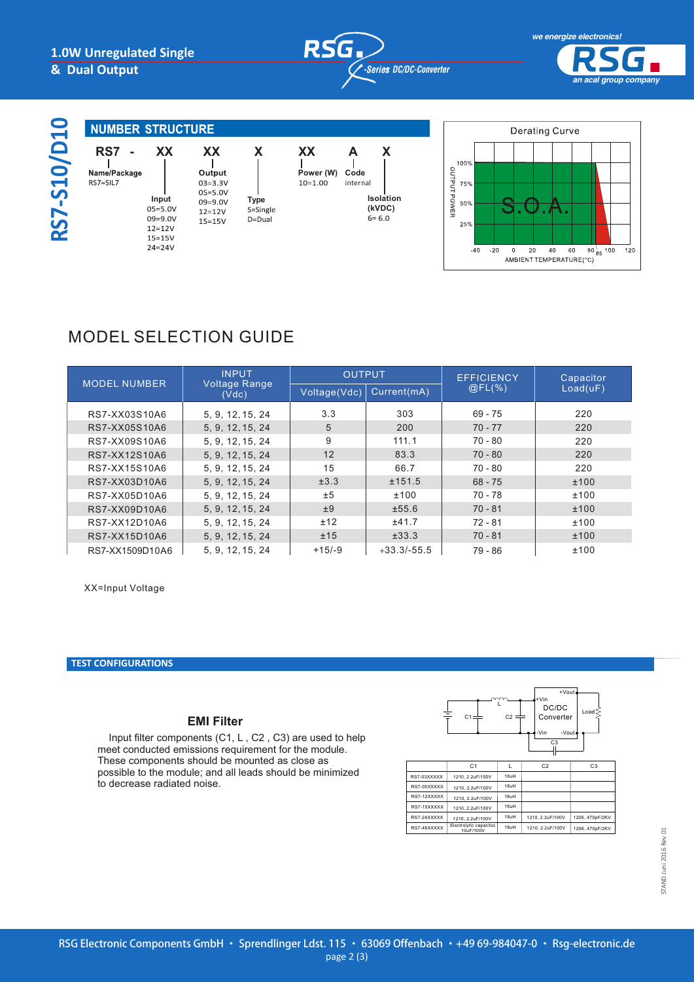



# **RS7-S10/D10**  $\mathbf N$  $R<sub>s</sub>$

| $\bullet$<br>$\bar{\phantom{1}}$                                                            | <b>NUMBER STRUCTURE</b>                    |                                                         |                                                                                              |                                             |                     |  |
|---------------------------------------------------------------------------------------------|--------------------------------------------|---------------------------------------------------------|----------------------------------------------------------------------------------------------|---------------------------------------------|---------------------|--|
| $\qquad \qquad \blacksquare$<br>$\overline{\mathsf{S}}$<br>$\blacktriangleright$<br>S<br>လွ | <b>RS7</b><br>Name/Package<br>$RS7 = SIL7$ | XX<br>Input<br>$05 = 5.0V$<br>$09 = 9.0V$<br>$12 = 12V$ | <b>XX</b><br>Output<br>$03 = 3.3V$<br>$05 = 5.0V$<br>$09 = 9.0V$<br>$12 = 12V$<br>$15 = 15V$ | X<br><b>Type</b><br>S=Single<br>$D = D$ ual | ХX<br>Pow<br>$10=1$ |  |
|                                                                                             |                                            | $15 = 15V$                                              |                                                                                              |                                             |                     |  |

**9** - 9V





## MODEL SELECTION GUIDE **15** - 15V

| <b>MODEL NUMBER</b> | <b>INPUT</b><br><b>Voltage Range</b><br>(Vdc) | <b>OUTPUT</b> |               | <b>EFFICIENCY</b> | Capacitor |
|---------------------|-----------------------------------------------|---------------|---------------|-------------------|-----------|
|                     |                                               | Voltage(Vdc)  | Current(mA)   | @FL(%             | Load(uF)  |
| RS7-XX03S10A6       | 5, 9, 12, 15, 24                              | 3.3           | 303           | $69 - 75$         | 220       |
| RS7-XX05S10A6       | 5, 9, 12, 15, 24                              | 5             | 200           | $70 - 77$         | 220       |
| RS7-XX09S10A6       | 5, 9, 12, 15, 24                              | 9             | 111.1         | $70 - 80$         | 220       |
| RS7-XX12S10A6       | 5, 9, 12, 15, 24                              | 12            | 83.3          | $70 - 80$         | 220       |
| RS7-XX15S10A6       | 5, 9, 12, 15, 24                              | 15            | 66.7          | $70 - 80$         | 220       |
| RS7-XX03D10A6       | 5, 9, 12, 15, 24                              | ±3.3          | ±151.5        | $68 - 75$         | ±100      |
| RS7-XX05D10A6       | 5, 9, 12, 15, 24                              | ±5            | ±100          | $70 - 78$         | ±100      |
| RS7-XX09D10A6       | 5, 9, 12, 15, 24                              | ±9            | ±55.6         | $70 - 81$         | ±100      |
| RS7-XX12D10A6       | 5, 9, 12, 15, 24                              | ±12           | ±41.7         | $72 - 81$         | ±100      |
| RS7-XX15D10A6       | 5, 9, 12, 15, 24                              | ±15           | ±33.3         | $70 - 81$         | ±100      |
| RS7-XX1509D10A6     | 5, 9, 12, 15, 24                              | $+15/-9$      | $+33.3/-55.5$ | $79 - 86$         | ±100      |

XX=Input Voltage

#### **TEST CONFIGURATIONS TEST CONFIGURATIONS**

#### **EMI Filter**

Input filter components (C1, L, C2, C3) are used to help meet conducted emissions requirement for the module. These components should be mounted as close as possible to the module; and all leads should be minimized to decrease radiated noise.



10uF/100V 18uH 1210, 2.2uF/100V 1206, 470pF/2KV

Electrolytic capacitor,